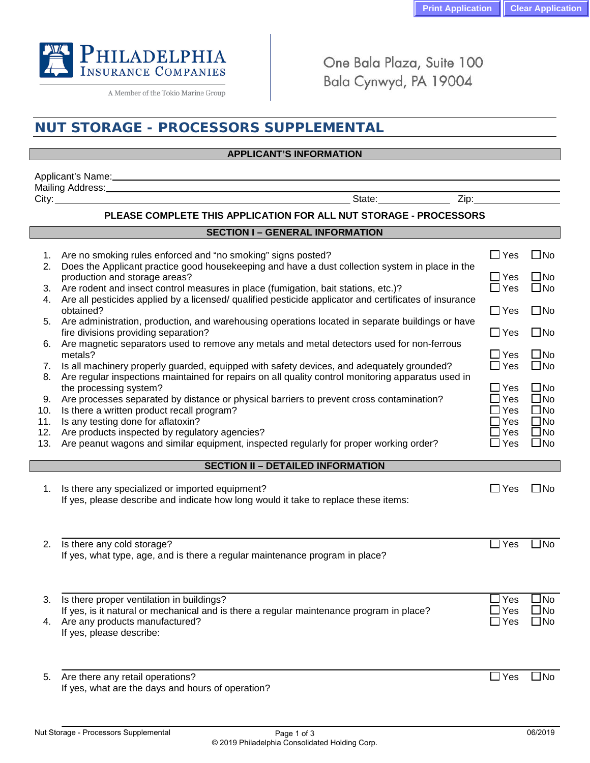

A Member of the Tokio Marine Group

One Bala Plaza, Suite 100 Bala Cynwyd, PA 19004

# **NUT STORAGE - PROCESSORS SUPPLEMENTAL**

## **APPLICANT'S INFORMATION**

| Applicant's Name: |        |     |
|-------------------|--------|-----|
| Mailing Address:  |        |     |
| City:             | State: | Zip |

## **PLEASE COMPLETE THIS APPLICATION FOR ALL NUT STORAGE - PROCESSORS**

### **SECTION I – GENERAL INFORMATION**

| 1.  | Are no smoking rules enforced and "no smoking" signs posted?                                                                             | $\Box$ Yes               | $\square$ No |
|-----|------------------------------------------------------------------------------------------------------------------------------------------|--------------------------|--------------|
| 2.  | Does the Applicant practice good housekeeping and have a dust collection system in place in the<br>production and storage areas?         | $\square$ Yes            | $\square$ No |
| 3.  | Are rodent and insect control measures in place (fumigation, bait stations, etc.)?                                                       | $\Box$ Yes               | $\square$ No |
| 4.  | Are all pesticides applied by a licensed/ qualified pesticide applicator and certificates of insurance                                   |                          |              |
|     | obtained?                                                                                                                                | $\Box$ Yes               | $\Box$ No    |
| 5.  | Are administration, production, and warehousing operations located in separate buildings or have<br>fire divisions providing separation? | $\Box$ Yes               | $\square$ No |
| 6.  | Are magnetic separators used to remove any metals and metal detectors used for non-ferrous                                               |                          | $\square$ No |
| 7.  | metals?<br>Is all machinery properly guarded, equipped with safety devices, and adequately grounded?                                     | $\Box$ Yes<br>$\Box$ Yes | $\square$ No |
| 8.  | Are regular inspections maintained for repairs on all quality control monitoring apparatus used in                                       |                          |              |
|     | the processing system?                                                                                                                   | $\Box$ Yes               | $\square$ No |
| 9.  | Are processes separated by distance or physical barriers to prevent cross contamination?                                                 | $\Box$ Yes               | $\square$ No |
| 10. | Is there a written product recall program?                                                                                               | $\square$ Yes            | $\square$ No |
| 11. | Is any testing done for aflatoxin?                                                                                                       | $\Box$ Yes               | $\square$ No |
| 12. | Are products inspected by regulatory agencies?                                                                                           | $\square$ Yes            | $\square$ No |
| 13. | Are peanut wagons and similar equipment, inspected regularly for proper working order?                                                   | $\Box$ Yes               | $\square$ No |
|     |                                                                                                                                          |                          |              |
|     | <b>SECTION II - DETAILED INFORMATION</b>                                                                                                 |                          |              |
|     |                                                                                                                                          |                          |              |
| 1.  | Is there any specialized or imported equipment?                                                                                          | $\Box$ Yes               | $\Box$ No    |
|     | If yes, please describe and indicate how long would it take to replace these items:                                                      |                          |              |
|     |                                                                                                                                          |                          |              |
|     |                                                                                                                                          |                          |              |
| 2.  | Is there any cold storage?                                                                                                               | $\Box$ Yes               | $\square$ No |
|     | If yes, what type, age, and is there a regular maintenance program in place?                                                             |                          |              |
|     |                                                                                                                                          |                          |              |
|     |                                                                                                                                          |                          |              |
| 3.  |                                                                                                                                          | $\Box$ Yes               | $\square$ No |
|     | Is there proper ventilation in buildings?                                                                                                | $\Box$ Yes               | $\square$ No |
| 4.  | If yes, is it natural or mechanical and is there a regular maintenance program in place?<br>Are any products manufactured?               | $\square$ Yes            | $\square$ No |
|     | If yes, please describe:                                                                                                                 |                          |              |
|     |                                                                                                                                          |                          |              |
|     |                                                                                                                                          |                          |              |

5. Are there any retail operations? Yes No If yes, what are the days and hours of operation?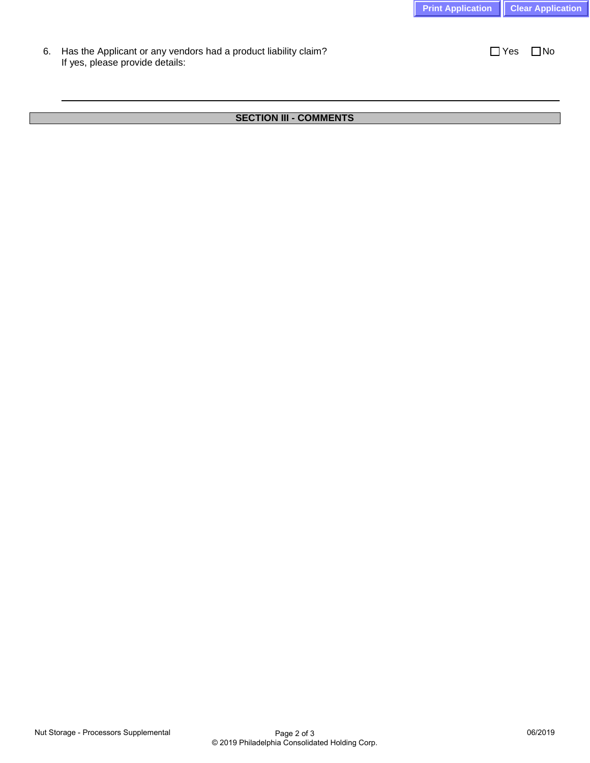| 6. Has the Applicant or any vendors had a product liability claim? |
|--------------------------------------------------------------------|
| If yes, please provide details:                                    |

 $\Box$  Yes  $\Box$  No

## **SECTION III - COMMENTS**